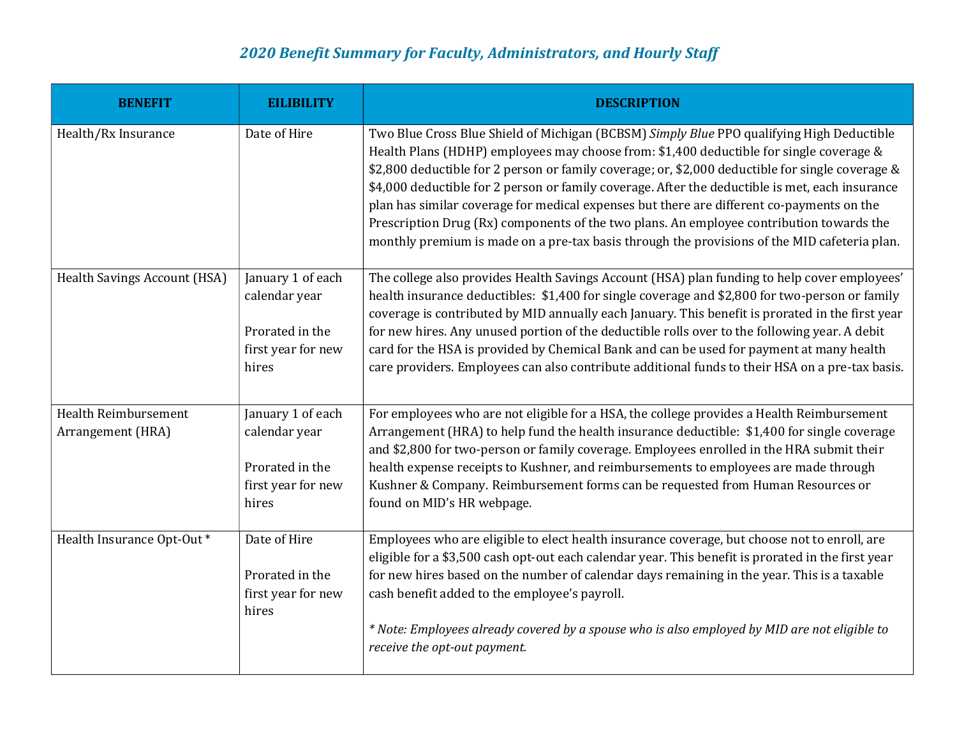## 2020 Benefit Summary for Faculty, Administrators, and Hourly Staff

| <b>BENEFIT</b>                            | <b>EILIBILITY</b>                                                                    | <b>DESCRIPTION</b>                                                                                                                                                                                                                                                                                                                                                                                                                                                                                                                                                                                                                                                                   |
|-------------------------------------------|--------------------------------------------------------------------------------------|--------------------------------------------------------------------------------------------------------------------------------------------------------------------------------------------------------------------------------------------------------------------------------------------------------------------------------------------------------------------------------------------------------------------------------------------------------------------------------------------------------------------------------------------------------------------------------------------------------------------------------------------------------------------------------------|
| Health/Rx Insurance                       | Date of Hire                                                                         | Two Blue Cross Blue Shield of Michigan (BCBSM) Simply Blue PPO qualifying High Deductible<br>Health Plans (HDHP) employees may choose from: \$1,400 deductible for single coverage &<br>\$2,800 deductible for 2 person or family coverage; or, \$2,000 deductible for single coverage &<br>\$4,000 deductible for 2 person or family coverage. After the deductible is met, each insurance<br>plan has similar coverage for medical expenses but there are different co-payments on the<br>Prescription Drug (Rx) components of the two plans. An employee contribution towards the<br>monthly premium is made on a pre-tax basis through the provisions of the MID cafeteria plan. |
| <b>Health Savings Account (HSA)</b>       | January 1 of each<br>calendar year<br>Prorated in the<br>first year for new<br>hires | The college also provides Health Savings Account (HSA) plan funding to help cover employees'<br>health insurance deductibles: \$1,400 for single coverage and \$2,800 for two-person or family<br>coverage is contributed by MID annually each January. This benefit is prorated in the first year<br>for new hires. Any unused portion of the deductible rolls over to the following year. A debit<br>card for the HSA is provided by Chemical Bank and can be used for payment at many health<br>care providers. Employees can also contribute additional funds to their HSA on a pre-tax basis.                                                                                   |
| Health Reimbursement<br>Arrangement (HRA) | January 1 of each<br>calendar year<br>Prorated in the<br>first year for new<br>hires | For employees who are not eligible for a HSA, the college provides a Health Reimbursement<br>Arrangement (HRA) to help fund the health insurance deductible: \$1,400 for single coverage<br>and \$2,800 for two-person or family coverage. Employees enrolled in the HRA submit their<br>health expense receipts to Kushner, and reimbursements to employees are made through<br>Kushner & Company. Reimbursement forms can be requested from Human Resources or<br>found on MID's HR webpage.                                                                                                                                                                                       |
| Health Insurance Opt-Out*                 | Date of Hire<br>Prorated in the<br>first year for new<br>hires                       | Employees who are eligible to elect health insurance coverage, but choose not to enroll, are<br>eligible for a \$3,500 cash opt-out each calendar year. This benefit is prorated in the first year<br>for new hires based on the number of calendar days remaining in the year. This is a taxable<br>cash benefit added to the employee's payroll.<br>* Note: Employees already covered by a spouse who is also employed by MID are not eligible to<br>receive the opt-out payment.                                                                                                                                                                                                  |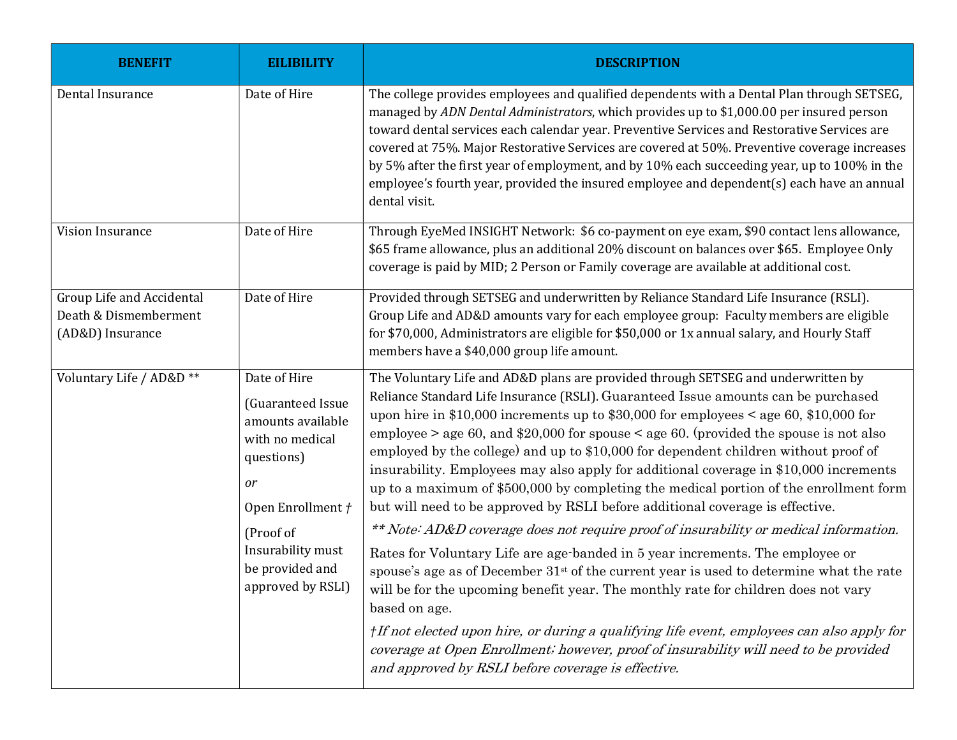| <b>BENEFIT</b>                                                         | <b>EILIBILITY</b>                                                                                                                                                                            | <b>DESCRIPTION</b>                                                                                                                                                                                                                                                                                                                                                                                                                                                                                                                                                                                                                                                                                                                                                                                                                                                                                                                                                                                                                                                                                                                                                                                            |
|------------------------------------------------------------------------|----------------------------------------------------------------------------------------------------------------------------------------------------------------------------------------------|---------------------------------------------------------------------------------------------------------------------------------------------------------------------------------------------------------------------------------------------------------------------------------------------------------------------------------------------------------------------------------------------------------------------------------------------------------------------------------------------------------------------------------------------------------------------------------------------------------------------------------------------------------------------------------------------------------------------------------------------------------------------------------------------------------------------------------------------------------------------------------------------------------------------------------------------------------------------------------------------------------------------------------------------------------------------------------------------------------------------------------------------------------------------------------------------------------------|
| Dental Insurance                                                       | Date of Hire                                                                                                                                                                                 | The college provides employees and qualified dependents with a Dental Plan through SETSEG,<br>managed by ADN Dental Administrators, which provides up to \$1,000.00 per insured person<br>toward dental services each calendar year. Preventive Services and Restorative Services are<br>covered at 75%. Major Restorative Services are covered at 50%. Preventive coverage increases<br>by 5% after the first year of employment, and by 10% each succeeding year, up to 100% in the<br>employee's fourth year, provided the insured employee and dependent(s) each have an annual<br>dental visit.                                                                                                                                                                                                                                                                                                                                                                                                                                                                                                                                                                                                          |
| Vision Insurance                                                       | Date of Hire                                                                                                                                                                                 | Through EyeMed INSIGHT Network: \$6 co-payment on eye exam, \$90 contact lens allowance,<br>\$65 frame allowance, plus an additional 20% discount on balances over \$65. Employee Only<br>coverage is paid by MID; 2 Person or Family coverage are available at additional cost.                                                                                                                                                                                                                                                                                                                                                                                                                                                                                                                                                                                                                                                                                                                                                                                                                                                                                                                              |
| Group Life and Accidental<br>Death & Dismemberment<br>(AD&D) Insurance | Date of Hire                                                                                                                                                                                 | Provided through SETSEG and underwritten by Reliance Standard Life Insurance (RSLI).<br>Group Life and AD&D amounts vary for each employee group: Faculty members are eligible<br>for \$70,000, Administrators are eligible for \$50,000 or 1x annual salary, and Hourly Staff<br>members have a \$40,000 group life amount.                                                                                                                                                                                                                                                                                                                                                                                                                                                                                                                                                                                                                                                                                                                                                                                                                                                                                  |
| Voluntary Life / AD&D **                                               | Date of Hire<br>(Guaranteed Issue<br>amounts available<br>with no medical<br>questions)<br>or<br>Open Enrollment /<br>(Proof of<br>Insurability must<br>be provided and<br>approved by RSLI) | The Voluntary Life and AD&D plans are provided through SETSEG and underwritten by<br>Reliance Standard Life Insurance (RSLI). Guaranteed Issue amounts can be purchased<br>upon hire in \$10,000 increments up to \$30,000 for employees < age 60, \$10,000 for<br>employee $>$ age 60, and \$20,000 for spouse $<$ age 60. (provided the spouse is not also<br>employed by the college) and up to \$10,000 for dependent children without proof of<br>insurability. Employees may also apply for additional coverage in \$10,000 increments<br>up to a maximum of \$500,000 by completing the medical portion of the enrollment form<br>but will need to be approved by RSLI before additional coverage is effective.<br>** Note: AD&D coverage does not require proof of insurability or medical information.<br>Rates for Voluntary Life are age-banded in 5 year increments. The employee or<br>spouse's age as of December 31 <sup>st</sup> of the current year is used to determine what the rate<br>will be for the upcoming benefit year. The monthly rate for children does not vary<br>based on age.<br>† If not elected upon hire, or during a qualifying life event, employees can also apply for |
|                                                                        |                                                                                                                                                                                              | coverage at Open Enrollment; however, proof of insurability will need to be provided<br>and approved by RSLI before coverage is effective.                                                                                                                                                                                                                                                                                                                                                                                                                                                                                                                                                                                                                                                                                                                                                                                                                                                                                                                                                                                                                                                                    |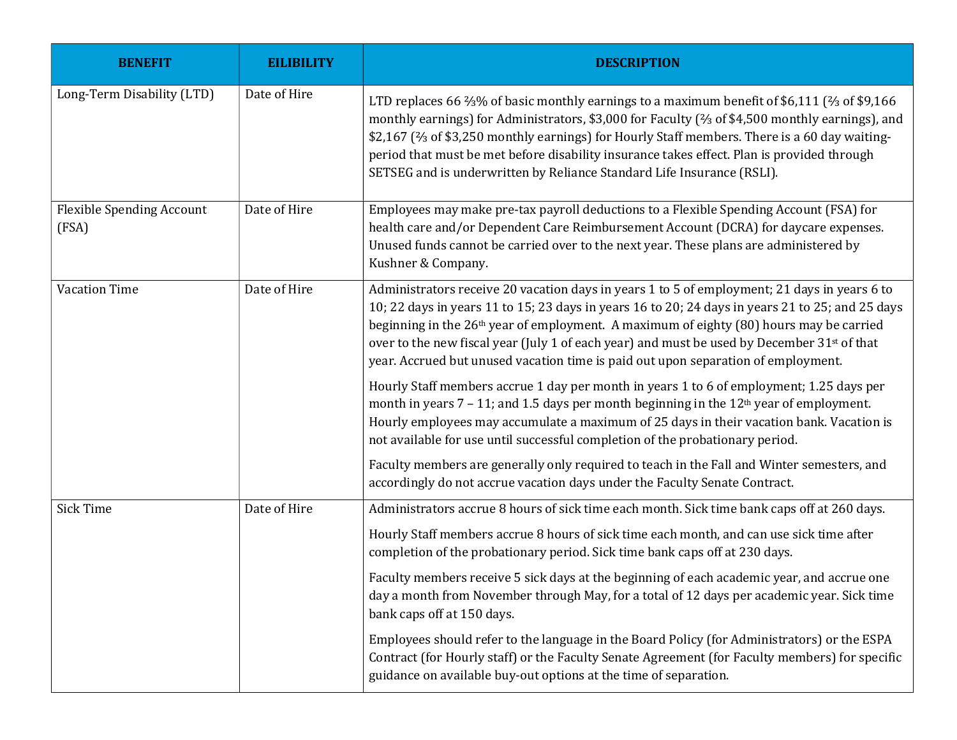| <b>BENEFIT</b>                            | <b>EILIBILITY</b> | <b>DESCRIPTION</b>                                                                                                                                                                                                                                                                                                                                                                                                                                                                                      |
|-------------------------------------------|-------------------|---------------------------------------------------------------------------------------------------------------------------------------------------------------------------------------------------------------------------------------------------------------------------------------------------------------------------------------------------------------------------------------------------------------------------------------------------------------------------------------------------------|
| Long-Term Disability (LTD)                | Date of Hire      | LTD replaces 66 %% of basic monthly earnings to a maximum benefit of \$6,111 (% of \$9,166<br>monthly earnings) for Administrators, \$3,000 for Faculty ( $\frac{2}{3}$ of \$4,500 monthly earnings), and<br>\$2,167 (% of \$3,250 monthly earnings) for Hourly Staff members. There is a 60 day waiting-<br>period that must be met before disability insurance takes effect. Plan is provided through<br>SETSEG and is underwritten by Reliance Standard Life Insurance (RSLI).                       |
| <b>Flexible Spending Account</b><br>(FSA) | Date of Hire      | Employees may make pre-tax payroll deductions to a Flexible Spending Account (FSA) for<br>health care and/or Dependent Care Reimbursement Account (DCRA) for daycare expenses.<br>Unused funds cannot be carried over to the next year. These plans are administered by<br>Kushner & Company.                                                                                                                                                                                                           |
| <b>Vacation Time</b>                      | Date of Hire      | Administrators receive 20 vacation days in years 1 to 5 of employment; 21 days in years 6 to<br>10; 22 days in years 11 to 15; 23 days in years 16 to 20; 24 days in years 21 to 25; and 25 days<br>beginning in the 26 <sup>th</sup> year of employment. A maximum of eighty (80) hours may be carried<br>over to the new fiscal year (July 1 of each year) and must be used by December 31 <sup>st</sup> of that<br>year. Accrued but unused vacation time is paid out upon separation of employment. |
|                                           |                   | Hourly Staff members accrue 1 day per month in years 1 to 6 of employment; 1.25 days per<br>month in years $7 - 11$ ; and 1.5 days per month beginning in the $12th$ year of employment.<br>Hourly employees may accumulate a maximum of 25 days in their vacation bank. Vacation is<br>not available for use until successful completion of the probationary period.                                                                                                                                   |
|                                           |                   | Faculty members are generally only required to teach in the Fall and Winter semesters, and<br>accordingly do not accrue vacation days under the Faculty Senate Contract.                                                                                                                                                                                                                                                                                                                                |
| <b>Sick Time</b>                          | Date of Hire      | Administrators accrue 8 hours of sick time each month. Sick time bank caps off at 260 days.                                                                                                                                                                                                                                                                                                                                                                                                             |
|                                           |                   | Hourly Staff members accrue 8 hours of sick time each month, and can use sick time after<br>completion of the probationary period. Sick time bank caps off at 230 days.                                                                                                                                                                                                                                                                                                                                 |
|                                           |                   | Faculty members receive 5 sick days at the beginning of each academic year, and accrue one<br>day a month from November through May, for a total of 12 days per academic year. Sick time<br>bank caps off at 150 days.                                                                                                                                                                                                                                                                                  |
|                                           |                   | Employees should refer to the language in the Board Policy (for Administrators) or the ESPA<br>Contract (for Hourly staff) or the Faculty Senate Agreement (for Faculty members) for specific<br>guidance on available buy-out options at the time of separation.                                                                                                                                                                                                                                       |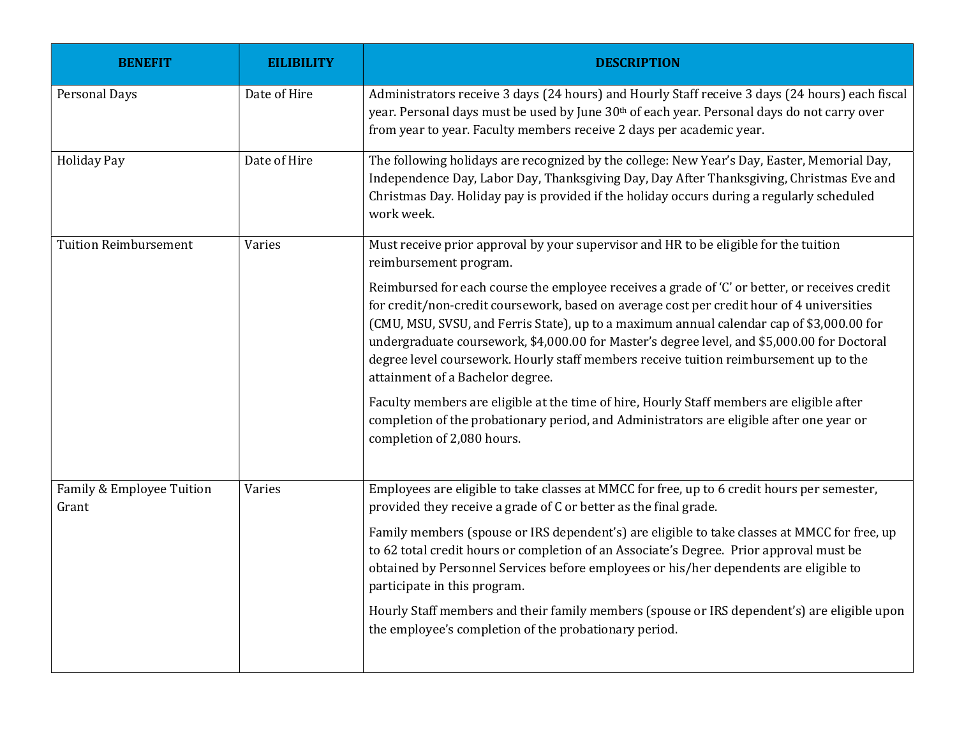| <b>BENEFIT</b>                     | <b>EILIBILITY</b> | <b>DESCRIPTION</b>                                                                                                                                                                                                                                                                                                                                                                                                                                                                                                  |
|------------------------------------|-------------------|---------------------------------------------------------------------------------------------------------------------------------------------------------------------------------------------------------------------------------------------------------------------------------------------------------------------------------------------------------------------------------------------------------------------------------------------------------------------------------------------------------------------|
| Personal Days                      | Date of Hire      | Administrators receive 3 days (24 hours) and Hourly Staff receive 3 days (24 hours) each fiscal<br>year. Personal days must be used by June 30th of each year. Personal days do not carry over<br>from year to year. Faculty members receive 2 days per academic year.                                                                                                                                                                                                                                              |
| <b>Holiday Pay</b>                 | Date of Hire      | The following holidays are recognized by the college: New Year's Day, Easter, Memorial Day,<br>Independence Day, Labor Day, Thanksgiving Day, Day After Thanksgiving, Christmas Eve and<br>Christmas Day. Holiday pay is provided if the holiday occurs during a regularly scheduled<br>work week.                                                                                                                                                                                                                  |
| <b>Tuition Reimbursement</b>       | Varies            | Must receive prior approval by your supervisor and HR to be eligible for the tuition<br>reimbursement program.                                                                                                                                                                                                                                                                                                                                                                                                      |
|                                    |                   | Reimbursed for each course the employee receives a grade of 'C' or better, or receives credit<br>for credit/non-credit coursework, based on average cost per credit hour of 4 universities<br>(CMU, MSU, SVSU, and Ferris State), up to a maximum annual calendar cap of \$3,000.00 for<br>undergraduate coursework, \$4,000.00 for Master's degree level, and \$5,000.00 for Doctoral<br>degree level coursework. Hourly staff members receive tuition reimbursement up to the<br>attainment of a Bachelor degree. |
|                                    |                   | Faculty members are eligible at the time of hire, Hourly Staff members are eligible after<br>completion of the probationary period, and Administrators are eligible after one year or<br>completion of 2,080 hours.                                                                                                                                                                                                                                                                                                 |
| Family & Employee Tuition<br>Grant | Varies            | Employees are eligible to take classes at MMCC for free, up to 6 credit hours per semester,<br>provided they receive a grade of C or better as the final grade.                                                                                                                                                                                                                                                                                                                                                     |
|                                    |                   | Family members (spouse or IRS dependent's) are eligible to take classes at MMCC for free, up<br>to 62 total credit hours or completion of an Associate's Degree. Prior approval must be<br>obtained by Personnel Services before employees or his/her dependents are eligible to<br>participate in this program.                                                                                                                                                                                                    |
|                                    |                   | Hourly Staff members and their family members (spouse or IRS dependent's) are eligible upon<br>the employee's completion of the probationary period.                                                                                                                                                                                                                                                                                                                                                                |